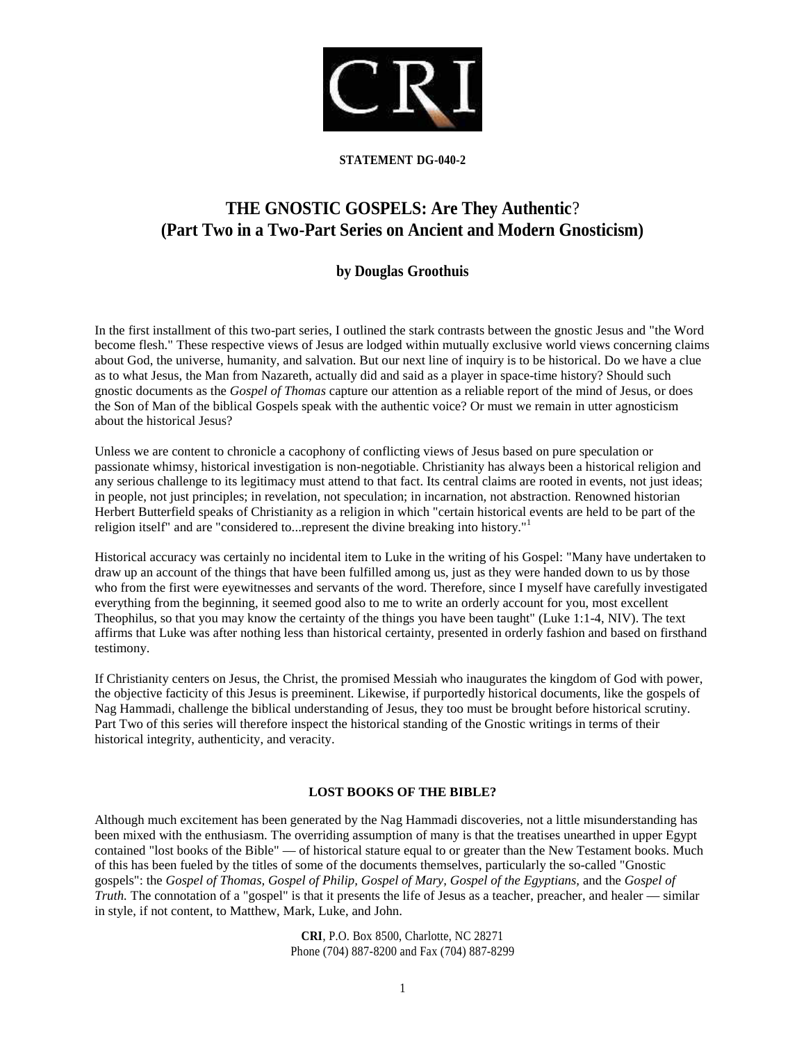

### **STATEMENT DG-040-2**

# **THE GNOSTIC GOSPELS: Are They Authentic**? **(Part Two in a Two-Part Series on Ancient and Modern Gnosticism)**

## **by Douglas Groothuis**

In the first installment of this two-part series, I outlined the stark contrasts between the gnostic Jesus and "the Word become flesh." These respective views of Jesus are lodged within mutually exclusive world views concerning claims about God, the universe, humanity, and salvation. But our next line of inquiry is to be historical. Do we have a clue as to what Jesus, the Man from Nazareth, actually did and said as a player in space-time history? Should such gnostic documents as the *Gospel of Thomas* capture our attention as a reliable report of the mind of Jesus, or does the Son of Man of the biblical Gospels speak with the authentic voice? Or must we remain in utter agnosticism about the historical Jesus?

Unless we are content to chronicle a cacophony of conflicting views of Jesus based on pure speculation or passionate whimsy, historical investigation is non-negotiable. Christianity has always been a historical religion and any serious challenge to its legitimacy must attend to that fact. Its central claims are rooted in events, not just ideas; in people, not just principles; in revelation, not speculation; in incarnation, not abstraction. Renowned historian Herbert Butterfield speaks of Christianity as a religion in which "certain historical events are held to be part of the religion itself" and are "considered to...represent the divine breaking into history."<sup>1</sup>

Historical accuracy was certainly no incidental item to Luke in the writing of his Gospel: "Many have undertaken to draw up an account of the things that have been fulfilled among us, just as they were handed down to us by those who from the first were eyewitnesses and servants of the word. Therefore, since I myself have carefully investigated everything from the beginning, it seemed good also to me to write an orderly account for you, most excellent Theophilus, so that you may know the certainty of the things you have been taught" (Luke 1:1-4, NIV). The text affirms that Luke was after nothing less than historical certainty, presented in orderly fashion and based on firsthand testimony.

If Christianity centers on Jesus, the Christ, the promised Messiah who inaugurates the kingdom of God with power, the objective facticity of this Jesus is preeminent. Likewise, if purportedly historical documents, like the gospels of Nag Hammadi, challenge the biblical understanding of Jesus, they too must be brought before historical scrutiny. Part Two of this series will therefore inspect the historical standing of the Gnostic writings in terms of their historical integrity, authenticity, and veracity.

#### **LOST BOOKS OF THE BIBLE?**

Although much excitement has been generated by the Nag Hammadi discoveries, not a little misunderstanding has been mixed with the enthusiasm. The overriding assumption of many is that the treatises unearthed in upper Egypt contained "lost books of the Bible" — of historical stature equal to or greater than the New Testament books. Much of this has been fueled by the titles of some of the documents themselves, particularly the so-called "Gnostic gospels": the *Gospel of Thomas, Gospel of Philip, Gospel of Mary, Gospel of the Egyptians,* and the *Gospel of Truth.* The connotation of a "gospel" is that it presents the life of Jesus as a teacher, preacher, and healer — similar in style, if not content, to Matthew, Mark, Luke, and John.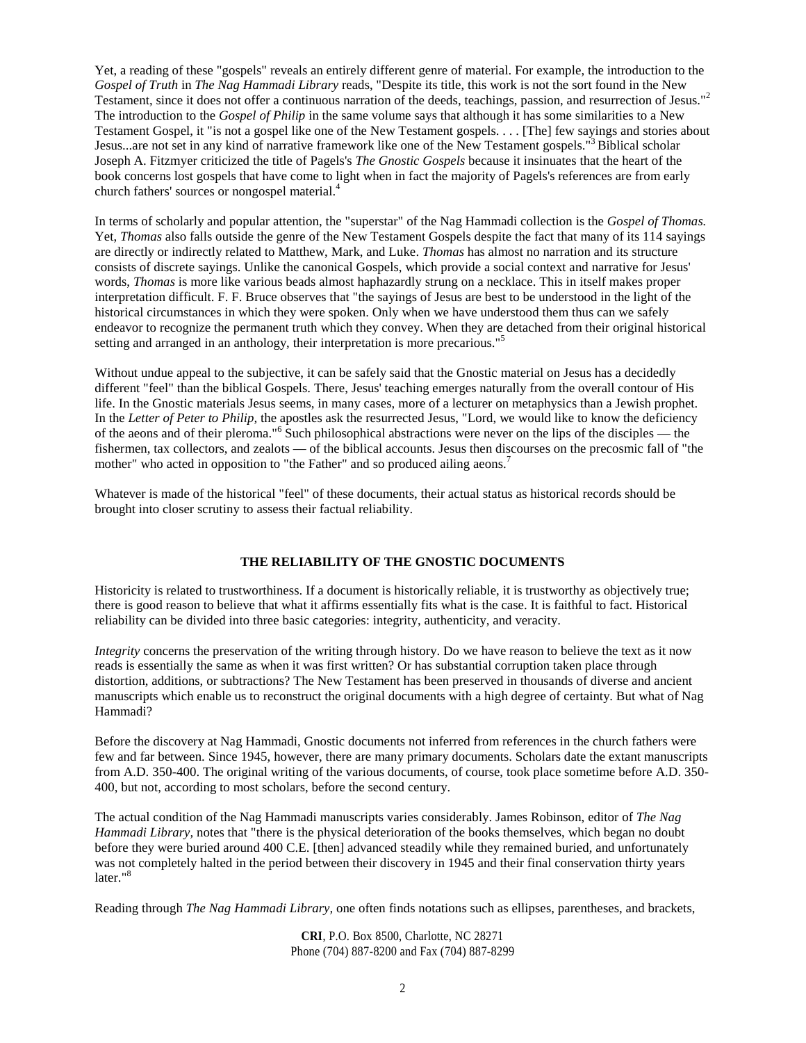Yet, a reading of these "gospels" reveals an entirely different genre of material. For example, the introduction to the *Gospel of Truth* in *The Nag Hammadi Library* reads, "Despite its title, this work is not the sort found in the New Testament, since it does not offer a continuous narration of the deeds, teachings, passion, and resurrection of Jesus."<sup>2</sup> The introduction to the *Gospel of Philip* in the same volume says that although it has some similarities to a New Testament Gospel, it "is not a gospel like one of the New Testament gospels. . . . [The] few sayings and stories about Jesus...are not set in any kind of narrative framework like one of the New Testament gospels."<sup>3</sup> Biblical scholar Joseph A. Fitzmyer criticized the title of Pagels's *The Gnostic Gospels* because it insinuates that the heart of the book concerns lost gospels that have come to light when in fact the majority of Pagels's references are from early church fathers' sources or nongospel material.<sup>4</sup>

In terms of scholarly and popular attention, the "superstar" of the Nag Hammadi collection is the *Gospel of Thomas.* Yet, *Thomas* also falls outside the genre of the New Testament Gospels despite the fact that many of its 114 sayings are directly or indirectly related to Matthew, Mark, and Luke. *Thomas* has almost no narration and its structure consists of discrete sayings. Unlike the canonical Gospels, which provide a social context and narrative for Jesus' words, *Thomas* is more like various beads almost haphazardly strung on a necklace. This in itself makes proper interpretation difficult. F. F. Bruce observes that "the sayings of Jesus are best to be understood in the light of the historical circumstances in which they were spoken. Only when we have understood them thus can we safely endeavor to recognize the permanent truth which they convey. When they are detached from their original historical setting and arranged in an anthology, their interpretation is more precarious."<sup>5</sup>

Without undue appeal to the subjective, it can be safely said that the Gnostic material on Jesus has a decidedly different "feel" than the biblical Gospels. There, Jesus' teaching emerges naturally from the overall contour of His life. In the Gnostic materials Jesus seems, in many cases, more of a lecturer on metaphysics than a Jewish prophet. In the *Letter of Peter to Philip,* the apostles ask the resurrected Jesus, "Lord, we would like to know the deficiency of the aeons and of their pleroma."<sup>6</sup> Such philosophical abstractions were never on the lips of the disciples — the fishermen, tax collectors, and zealots — of the biblical accounts. Jesus then discourses on the precosmic fall of "the mother" who acted in opposition to "the Father" and so produced ailing aeons.<sup>7</sup>

Whatever is made of the historical "feel" of these documents, their actual status as historical records should be brought into closer scrutiny to assess their factual reliability.

#### **THE RELIABILITY OF THE GNOSTIC DOCUMENTS**

Historicity is related to trustworthiness. If a document is historically reliable, it is trustworthy as objectively true; there is good reason to believe that what it affirms essentially fits what is the case. It is faithful to fact. Historical reliability can be divided into three basic categories: integrity, authenticity, and veracity.

*Integrity* concerns the preservation of the writing through history. Do we have reason to believe the text as it now reads is essentially the same as when it was first written? Or has substantial corruption taken place through distortion, additions, or subtractions? The New Testament has been preserved in thousands of diverse and ancient manuscripts which enable us to reconstruct the original documents with a high degree of certainty. But what of Nag Hammadi?

Before the discovery at Nag Hammadi, Gnostic documents not inferred from references in the church fathers were few and far between. Since 1945, however, there are many primary documents. Scholars date the extant manuscripts from A.D. 350-400. The original writing of the various documents, of course, took place sometime before A.D. 350- 400, but not, according to most scholars, before the second century.

The actual condition of the Nag Hammadi manuscripts varies considerably. James Robinson, editor of *The Nag Hammadi Library,* notes that "there is the physical deterioration of the books themselves, which began no doubt before they were buried around 400 C.E. [then] advanced steadily while they remained buried, and unfortunately was not completely halted in the period between their discovery in 1945 and their final conservation thirty years later."<sup>8</sup>

Reading through *The Nag Hammadi Library,* one often finds notations such as ellipses, parentheses, and brackets,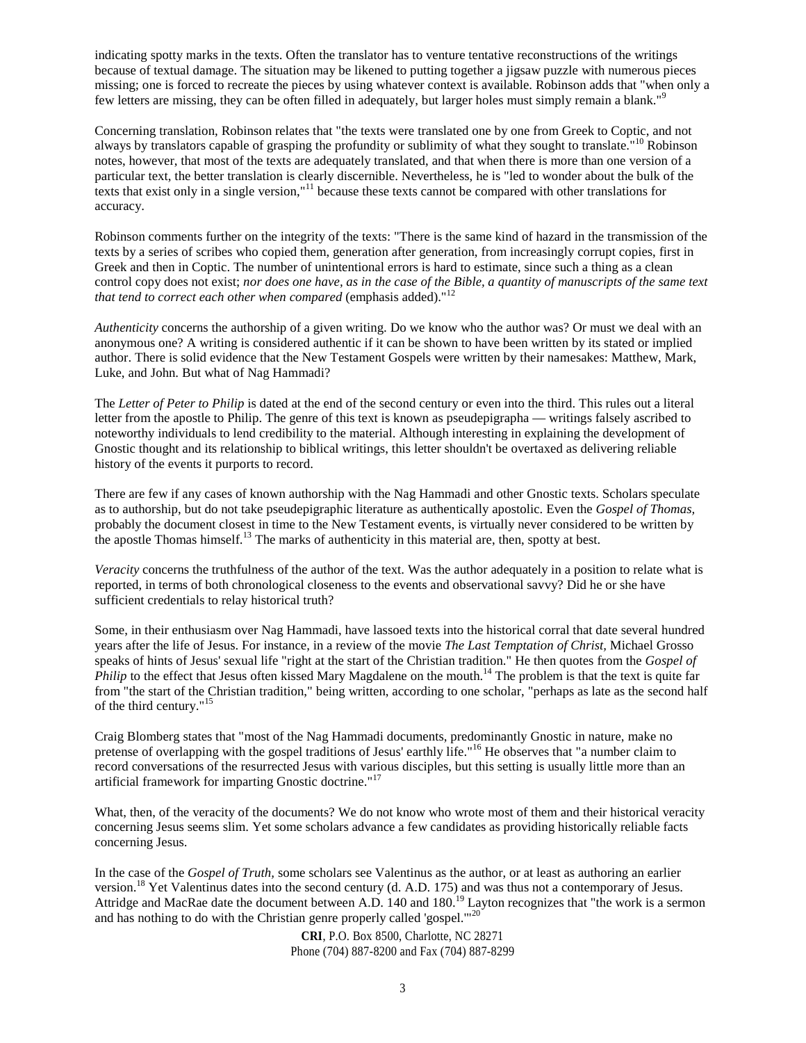indicating spotty marks in the texts. Often the translator has to venture tentative reconstructions of the writings because of textual damage. The situation may be likened to putting together a jigsaw puzzle with numerous pieces missing; one is forced to recreate the pieces by using whatever context is available. Robinson adds that "when only a few letters are missing, they can be often filled in adequately, but larger holes must simply remain a blank."<sup>9</sup>

Concerning translation, Robinson relates that "the texts were translated one by one from Greek to Coptic, and not always by translators capable of grasping the profundity or sublimity of what they sought to translate."<sup>10</sup> Robinson notes, however, that most of the texts are adequately translated, and that when there is more than one version of a particular text, the better translation is clearly discernible. Nevertheless, he is "led to wonder about the bulk of the texts that exist only in a single version,"<sup>11</sup> because these texts cannot be compared with other translations for accuracy.

Robinson comments further on the integrity of the texts: "There is the same kind of hazard in the transmission of the texts by a series of scribes who copied them, generation after generation, from increasingly corrupt copies, first in Greek and then in Coptic. The number of unintentional errors is hard to estimate, since such a thing as a clean control copy does not exist; *nor does one have, as in the case of the Bible, a quantity of manuscripts of the same text that tend to correct each other when compared* (emphasis added)."<sup>12</sup>

*Authenticity* concerns the authorship of a given writing. Do we know who the author was? Or must we deal with an anonymous one? A writing is considered authentic if it can be shown to have been written by its stated or implied author. There is solid evidence that the New Testament Gospels were written by their namesakes: Matthew, Mark, Luke, and John. But what of Nag Hammadi?

The *Letter of Peter to Philip* is dated at the end of the second century or even into the third. This rules out a literal letter from the apostle to Philip. The genre of this text is known as pseudepigrapha — writings falsely ascribed to noteworthy individuals to lend credibility to the material. Although interesting in explaining the development of Gnostic thought and its relationship to biblical writings, this letter shouldn't be overtaxed as delivering reliable history of the events it purports to record.

There are few if any cases of known authorship with the Nag Hammadi and other Gnostic texts. Scholars speculate as to authorship, but do not take pseudepigraphic literature as authentically apostolic. Even the *Gospel of Thomas,* probably the document closest in time to the New Testament events, is virtually never considered to be written by the apostle Thomas himself.<sup>13</sup> The marks of authenticity in this material are, then, spotty at best.

*Veracity* concerns the truthfulness of the author of the text. Was the author adequately in a position to relate what is reported, in terms of both chronological closeness to the events and observational savvy? Did he or she have sufficient credentials to relay historical truth?

Some, in their enthusiasm over Nag Hammadi, have lassoed texts into the historical corral that date several hundred years after the life of Jesus. For instance, in a review of the movie *The Last Temptation of Christ,* Michael Grosso speaks of hints of Jesus' sexual life "right at the start of the Christian tradition." He then quotes from the *Gospel of Philip* to the effect that Jesus often kissed Mary Magdalene on the mouth.<sup>14</sup> The problem is that the text is quite far from "the start of the Christian tradition," being written, according to one scholar, "perhaps as late as the second half of the third century."<sup>15</sup>

Craig Blomberg states that "most of the Nag Hammadi documents, predominantly Gnostic in nature, make no pretense of overlapping with the gospel traditions of Jesus' earthly life."<sup>16</sup> He observes that "a number claim to record conversations of the resurrected Jesus with various disciples, but this setting is usually little more than an artificial framework for imparting Gnostic doctrine."<sup>17</sup>

What, then, of the veracity of the documents? We do not know who wrote most of them and their historical veracity concerning Jesus seems slim. Yet some scholars advance a few candidates as providing historically reliable facts concerning Jesus.

In the case of the *Gospel of Truth,* some scholars see Valentinus as the author, or at least as authoring an earlier version.<sup>18</sup> Yet Valentinus dates into the second century (d. A.D. 175) and was thus not a contemporary of Jesus. Attridge and MacRae date the document between A.D. 140 and 180.<sup>19</sup> Layton recognizes that "the work is a sermon and has nothing to do with the Christian genre properly called 'gospel.'"<sup>20</sup>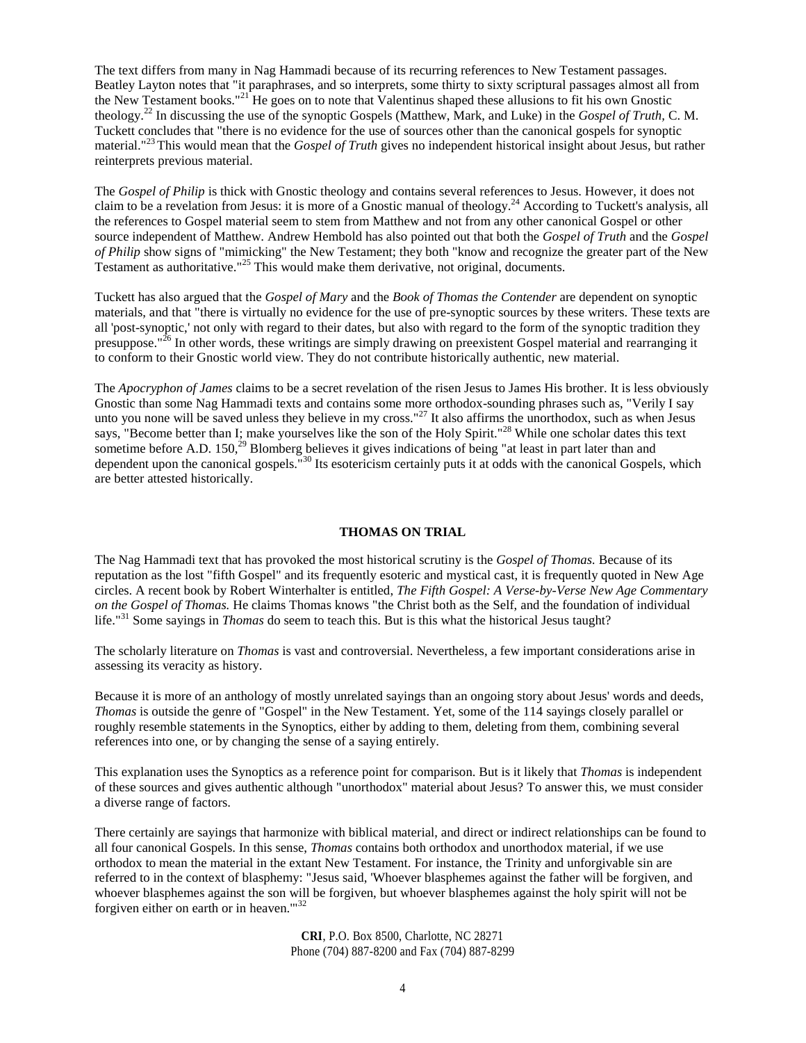The text differs from many in Nag Hammadi because of its recurring references to New Testament passages. Beatley Layton notes that "it paraphrases, and so interprets, some thirty to sixty scriptural passages almost all from the New Testament books."<sup>21</sup> He goes on to note that Valentinus shaped these allusions to fit his own Gnostic theology.<sup>22</sup> In discussing the use of the synoptic Gospels (Matthew, Mark, and Luke) in the *Gospel of Truth,* C. M. Tuckett concludes that "there is no evidence for the use of sources other than the canonical gospels for synoptic material."<sup>23</sup> This would mean that the *Gospel of Truth* gives no independent historical insight about Jesus, but rather reinterprets previous material.

The *Gospel of Philip* is thick with Gnostic theology and contains several references to Jesus. However, it does not claim to be a revelation from Jesus: it is more of a Gnostic manual of theology.<sup>24</sup> According to Tuckett's analysis, all the references to Gospel material seem to stem from Matthew and not from any other canonical Gospel or other source independent of Matthew. Andrew Hembold has also pointed out that both the *Gospel of Truth* and the *Gospel of Philip* show signs of "mimicking" the New Testament; they both "know and recognize the greater part of the New Testament as authoritative."<sup>25</sup> This would make them derivative, not original, documents.

Tuckett has also argued that the *Gospel of Mary* and the *Book of Thomas the Contender* are dependent on synoptic materials, and that "there is virtually no evidence for the use of pre-synoptic sources by these writers. These texts are all 'post-synoptic,' not only with regard to their dates, but also with regard to the form of the synoptic tradition they presuppose."<sup>26</sup> In other words, these writings are simply drawing on preexistent Gospel material and rearranging it to conform to their Gnostic world view. They do not contribute historically authentic, new material.

The *Apocryphon of James* claims to be a secret revelation of the risen Jesus to James His brother. It is less obviously Gnostic than some Nag Hammadi texts and contains some more orthodox-sounding phrases such as, "Verily I say unto you none will be saved unless they believe in my cross."<sup>27</sup> It also affirms the unorthodox, such as when Jesus says, "Become better than I; make yourselves like the son of the Holy Spirit."<sup>28</sup> While one scholar dates this text sometime before A.D.  $150<sup>29</sup>$  Blomberg believes it gives indications of being "at least in part later than and dependent upon the canonical gospels.<sup>"30</sup> Its esotericism certainly puts it at odds with the canonical Gospels, which are better attested historically.

#### **THOMAS ON TRIAL**

The Nag Hammadi text that has provoked the most historical scrutiny is the *Gospel of Thomas.* Because of its reputation as the lost "fifth Gospel" and its frequently esoteric and mystical cast, it is frequently quoted in New Age circles. A recent book by Robert Winterhalter is entitled, *The Fifth Gospel: A Verse-by-Verse New Age Commentary on the Gospel of Thomas.* He claims Thomas knows "the Christ both as the Self, and the foundation of individual life."<sup>31</sup> Some sayings in *Thomas* do seem to teach this. But is this what the historical Jesus taught?

The scholarly literature on *Thomas* is vast and controversial. Nevertheless, a few important considerations arise in assessing its veracity as history.

Because it is more of an anthology of mostly unrelated sayings than an ongoing story about Jesus' words and deeds, *Thomas* is outside the genre of "Gospel" in the New Testament. Yet, some of the 114 sayings closely parallel or roughly resemble statements in the Synoptics, either by adding to them, deleting from them, combining several references into one, or by changing the sense of a saying entirely.

This explanation uses the Synoptics as a reference point for comparison. But is it likely that *Thomas* is independent of these sources and gives authentic although "unorthodox" material about Jesus? To answer this, we must consider a diverse range of factors.

There certainly are sayings that harmonize with biblical material, and direct or indirect relationships can be found to all four canonical Gospels. In this sense, *Thomas* contains both orthodox and unorthodox material, if we use orthodox to mean the material in the extant New Testament. For instance, the Trinity and unforgivable sin are referred to in the context of blasphemy: "Jesus said, 'Whoever blasphemes against the father will be forgiven, and whoever blasphemes against the son will be forgiven, but whoever blasphemes against the holy spirit will not be forgiven either on earth or in heaven.'"<sup>32</sup>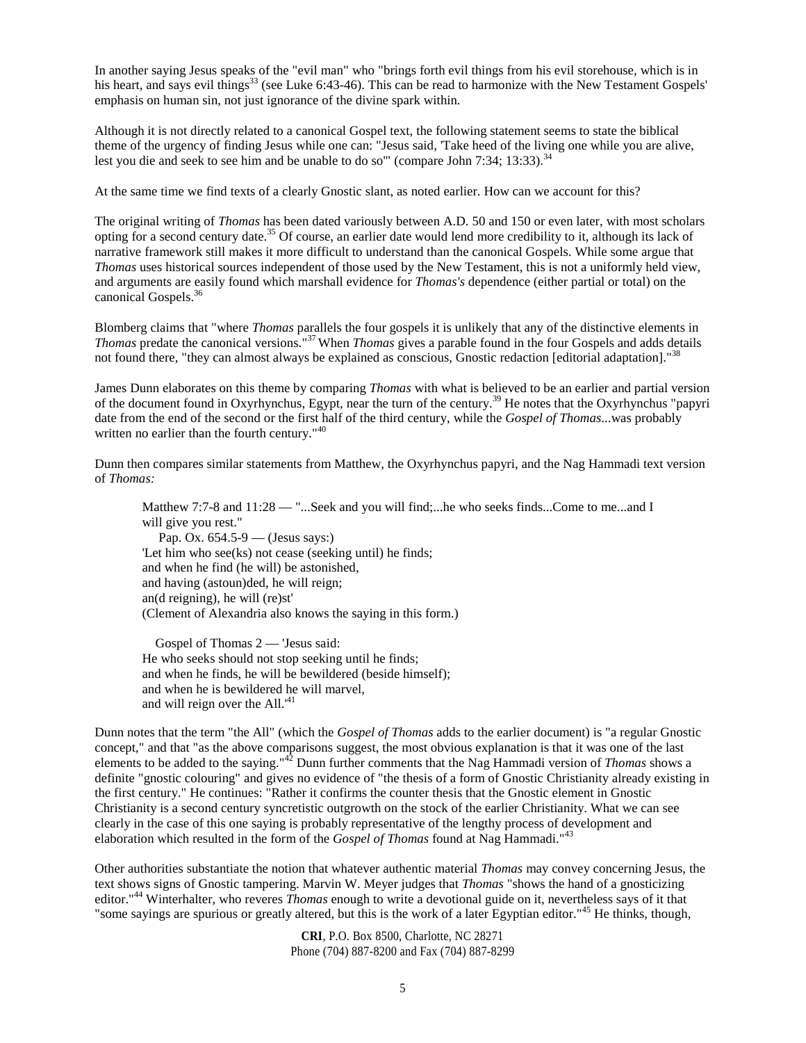In another saying Jesus speaks of the "evil man" who "brings forth evil things from his evil storehouse, which is in his heart, and says evil things<sup>33</sup> (see Luke 6:43-46). This can be read to harmonize with the New Testament Gospels' emphasis on human sin, not just ignorance of the divine spark within.

Although it is not directly related to a canonical Gospel text, the following statement seems to state the biblical theme of the urgency of finding Jesus while one can: "Jesus said, 'Take heed of the living one while you are alive, lest you die and seek to see him and be unable to do so"' (compare John 7:34; 13:33).<sup>34</sup>

At the same time we find texts of a clearly Gnostic slant, as noted earlier. How can we account for this?

The original writing of *Thomas* has been dated variously between A.D. 50 and 150 or even later, with most scholars opting for a second century date.<sup>35</sup> Of course, an earlier date would lend more credibility to it, although its lack of narrative framework still makes it more difficult to understand than the canonical Gospels. While some argue that *Thomas* uses historical sources independent of those used by the New Testament, this is not a uniformly held view, and arguments are easily found which marshall evidence for *Thomas's* dependence (either partial or total) on the canonical Gospels.<sup>36</sup>

Blomberg claims that "where *Thomas* parallels the four gospels it is unlikely that any of the distinctive elements in *Thomas* predate the canonical versions."<sup>37</sup> When *Thomas* gives a parable found in the four Gospels and adds details not found there, "they can almost always be explained as conscious, Gnostic redaction [editorial adaptation]."<sup>38</sup>

James Dunn elaborates on this theme by comparing *Thomas* with what is believed to be an earlier and partial version of the document found in Oxyrhynchus, Egypt, near the turn of the century.<sup>39</sup> He notes that the Oxyrhynchus "papyri date from the end of the second or the first half of the third century, while the *Gospel of Thomas*...was probably written no earlier than the fourth century."<sup>40</sup>

Dunn then compares similar statements from Matthew, the Oxyrhynchus papyri, and the Nag Hammadi text version of *Thomas:*

Matthew 7:7-8 and 11:28 — "...Seek and you will find;...he who seeks finds...Come to me...and I will give you rest." Pap. Ox. 654.5-9 — (Jesus says:) 'Let him who see(ks) not cease (seeking until) he finds; and when he find (he will) be astonished, and having (astoun)ded, he will reign; an(d reigning), he will (re)st' (Clement of Alexandria also knows the saying in this form.)

Gospel of Thomas 2 — 'Jesus said: He who seeks should not stop seeking until he finds; and when he finds, he will be bewildered (beside himself); and when he is bewildered he will marvel, and will reign over the All. $141$ 

Dunn notes that the term "the All" (which the *Gospel of Thomas* adds to the earlier document) is "a regular Gnostic concept," and that "as the above comparisons suggest, the most obvious explanation is that it was one of the last elements to be added to the saying."<sup>42</sup> Dunn further comments that the Nag Hammadi version of *Thomas* shows a definite "gnostic colouring" and gives no evidence of "the thesis of a form of Gnostic Christianity already existing in the first century." He continues: "Rather it confirms the counter thesis that the Gnostic element in Gnostic Christianity is a second century syncretistic outgrowth on the stock of the earlier Christianity. What we can see clearly in the case of this one saying is probably representative of the lengthy process of development and elaboration which resulted in the form of the *Gospel of Thomas* found at Nag Hammadi."<sup>43</sup>

Other authorities substantiate the notion that whatever authentic material *Thomas* may convey concerning Jesus, the text shows signs of Gnostic tampering. Marvin W. Meyer judges that *Thomas* "shows the hand of a gnosticizing editor."<sup>44</sup> Winterhalter, who reveres *Thomas* enough to write a devotional guide on it, nevertheless says of it that "some sayings are spurious or greatly altered, but this is the work of a later Egyptian editor."<sup>45</sup> He thinks, though,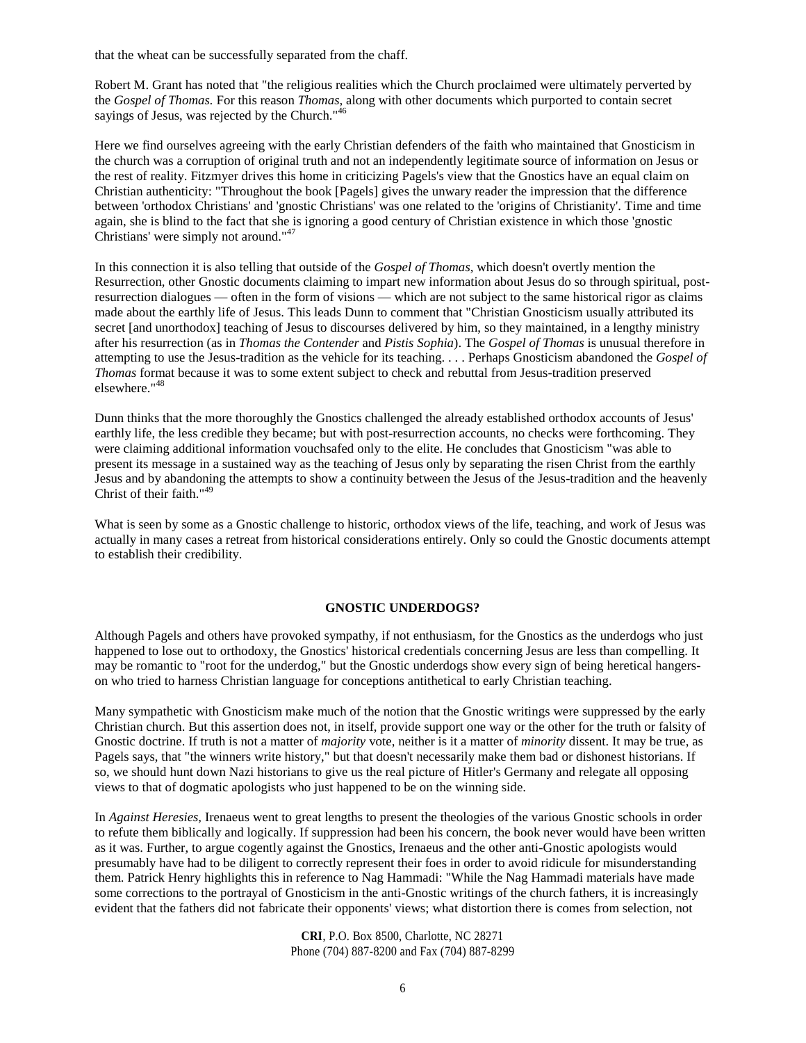that the wheat can be successfully separated from the chaff.

Robert M. Grant has noted that "the religious realities which the Church proclaimed were ultimately perverted by the *Gospel of Thomas.* For this reason *Thomas,* along with other documents which purported to contain secret sayings of Jesus, was rejected by the Church."<sup>46</sup>

Here we find ourselves agreeing with the early Christian defenders of the faith who maintained that Gnosticism in the church was a corruption of original truth and not an independently legitimate source of information on Jesus or the rest of reality. Fitzmyer drives this home in criticizing Pagels's view that the Gnostics have an equal claim on Christian authenticity: "Throughout the book [Pagels] gives the unwary reader the impression that the difference between 'orthodox Christians' and 'gnostic Christians' was one related to the 'origins of Christianity'. Time and time again, she is blind to the fact that she is ignoring a good century of Christian existence in which those 'gnostic Christians' were simply not around."<sup>47</sup>

In this connection it is also telling that outside of the *Gospel of Thomas,* which doesn't overtly mention the Resurrection, other Gnostic documents claiming to impart new information about Jesus do so through spiritual, postresurrection dialogues — often in the form of visions — which are not subject to the same historical rigor as claims made about the earthly life of Jesus. This leads Dunn to comment that "Christian Gnosticism usually attributed its secret [and unorthodox] teaching of Jesus to discourses delivered by him, so they maintained, in a lengthy ministry after his resurrection (as in *Thomas the Contender* and *Pistis Sophia*). The *Gospel of Thomas* is unusual therefore in attempting to use the Jesus-tradition as the vehicle for its teaching. . . . Perhaps Gnosticism abandoned the *Gospel of Thomas* format because it was to some extent subject to check and rebuttal from Jesus-tradition preserved elsewhere."<sup>48</sup>

Dunn thinks that the more thoroughly the Gnostics challenged the already established orthodox accounts of Jesus' earthly life, the less credible they became; but with post-resurrection accounts, no checks were forthcoming. They were claiming additional information vouchsafed only to the elite. He concludes that Gnosticism "was able to present its message in a sustained way as the teaching of Jesus only by separating the risen Christ from the earthly Jesus and by abandoning the attempts to show a continuity between the Jesus of the Jesus-tradition and the heavenly Christ of their faith."<sup>49</sup>

What is seen by some as a Gnostic challenge to historic, orthodox views of the life, teaching, and work of Jesus was actually in many cases a retreat from historical considerations entirely. Only so could the Gnostic documents attempt to establish their credibility.

#### **GNOSTIC UNDERDOGS?**

Although Pagels and others have provoked sympathy, if not enthusiasm, for the Gnostics as the underdogs who just happened to lose out to orthodoxy, the Gnostics' historical credentials concerning Jesus are less than compelling. It may be romantic to "root for the underdog," but the Gnostic underdogs show every sign of being heretical hangerson who tried to harness Christian language for conceptions antithetical to early Christian teaching.

Many sympathetic with Gnosticism make much of the notion that the Gnostic writings were suppressed by the early Christian church. But this assertion does not, in itself, provide support one way or the other for the truth or falsity of Gnostic doctrine. If truth is not a matter of *majority* vote, neither is it a matter of *minority* dissent. It may be true, as Pagels says, that "the winners write history," but that doesn't necessarily make them bad or dishonest historians. If so, we should hunt down Nazi historians to give us the real picture of Hitler's Germany and relegate all opposing views to that of dogmatic apologists who just happened to be on the winning side.

In *Against Heresies,* Irenaeus went to great lengths to present the theologies of the various Gnostic schools in order to refute them biblically and logically. If suppression had been his concern, the book never would have been written as it was. Further, to argue cogently against the Gnostics, Irenaeus and the other anti-Gnostic apologists would presumably have had to be diligent to correctly represent their foes in order to avoid ridicule for misunderstanding them. Patrick Henry highlights this in reference to Nag Hammadi: "While the Nag Hammadi materials have made some corrections to the portrayal of Gnosticism in the anti-Gnostic writings of the church fathers, it is increasingly evident that the fathers did not fabricate their opponents' views; what distortion there is comes from selection, not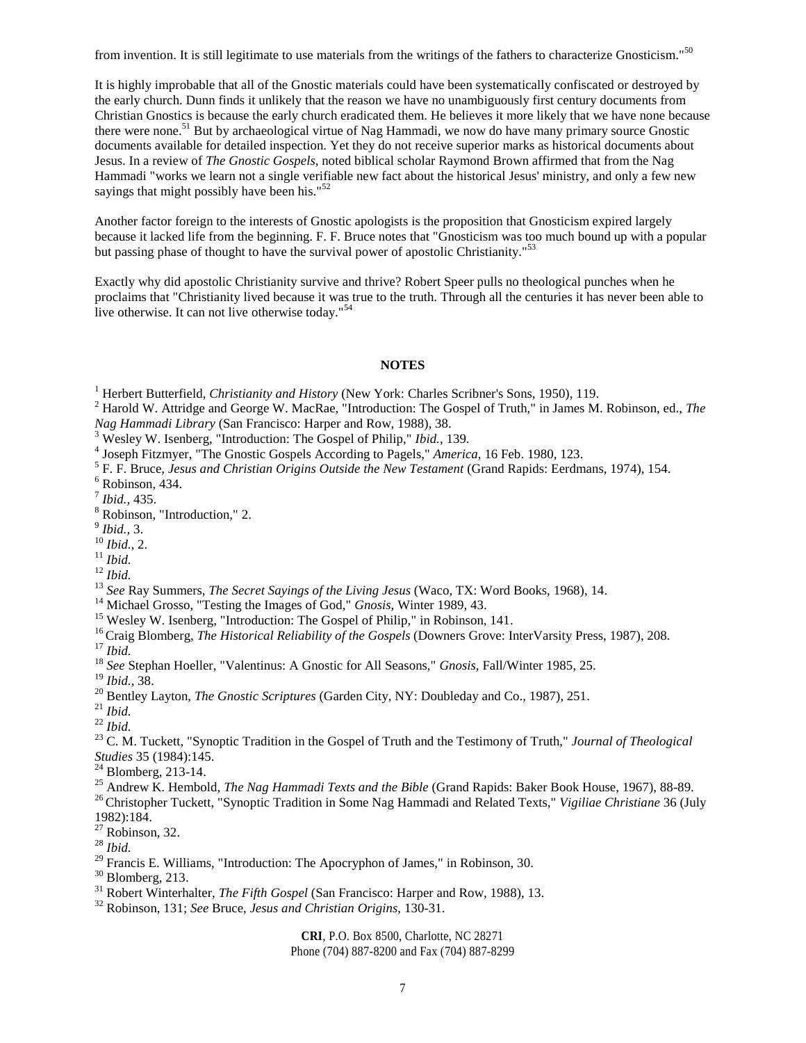from invention. It is still legitimate to use materials from the writings of the fathers to characterize Gnosticism."<sup>50</sup>

It is highly improbable that all of the Gnostic materials could have been systematically confiscated or destroyed by the early church. Dunn finds it unlikely that the reason we have no unambiguously first century documents from Christian Gnostics is because the early church eradicated them. He believes it more likely that we have none because there were none.<sup>51</sup> But by archaeological virtue of Nag Hammadi, we now do have many primary source Gnostic documents available for detailed inspection. Yet they do not receive superior marks as historical documents about Jesus. In a review of *The Gnostic Gospels,* noted biblical scholar Raymond Brown affirmed that from the Nag Hammadi "works we learn not a single verifiable new fact about the historical Jesus' ministry, and only a few new sayings that might possibly have been his."<sup>52</sup>

Another factor foreign to the interests of Gnostic apologists is the proposition that Gnosticism expired largely because it lacked life from the beginning. F. F. Bruce notes that "Gnosticism was too much bound up with a popular but passing phase of thought to have the survival power of apostolic Christianity."<sup>53</sup>

Exactly why did apostolic Christianity survive and thrive? Robert Speer pulls no theological punches when he proclaims that "Christianity lived because it was true to the truth. Through all the centuries it has never been able to live otherwise. It can not live otherwise today."<sup>54</sup>

#### **NOTES**

<sup>1</sup> Herbert Butterfield, *Christianity and History* (New York: Charles Scribner's Sons, 1950), 119.

<sup>2</sup> Harold W. Attridge and George W. MacRae, "Introduction: The Gospel of Truth," in James M. Robinson, ed., *The Nag Hammadi Library* (San Francisco: Harper and Row, 1988), 38.

<sup>3</sup> Wesley W. Isenberg, "Introduction: The Gospel of Philip," *Ibid.,* 139.

4 Joseph Fitzmyer, "The Gnostic Gospels According to Pagels," *America,* 16 Feb. 1980, 123.

- 5 F. F. Bruce, *Jesus and Christian Origins Outside the New Testament* (Grand Rapids: Eerdmans, 1974), 154.
- $6$  Robinson, 434.
- 7 *Ibid.,* 435.
- <sup>8</sup> Robinson, "Introduction," 2.
- 9 *Ibid.,* 3.
- <sup>10</sup> *Ibid.,* 2.
- <sup>11</sup> *Ibid.*
- <sup>12</sup> *Ibid.*

<sup>13</sup> *See* Ray Summers, *The Secret Sayings of the Living Jesus* (Waco, TX: Word Books, 1968), 14.

- <sup>14</sup> Michael Grosso, "Testing the Images of God," *Gnosis*, Winter 1989, 43.
- <sup>15</sup> Wesley W. Isenberg, "Introduction: The Gospel of Philip," in Robinson, 141.

<sup>16</sup> Craig Blomberg, *The Historical Reliability of the Gospels* (Downers Grove: InterVarsity Press, 1987), 208. <sup>17</sup> *Ibid.*

<sup>18</sup> *See* Stephan Hoeller, "Valentinus: A Gnostic for All Seasons," *Gnosis,* Fall/Winter 1985, 25.

<sup>19</sup> *Ibid.,* 38.

<sup>20</sup> Bentley Layton, *The Gnostic Scriptures* (Garden City, NY: Doubleday and Co., 1987), 251.

<sup>21</sup> *Ibid.*

<sup>22</sup> *Ibid.*

<sup>23</sup> C. M. Tuckett, "Synoptic Tradition in the Gospel of Truth and the Testimony of Truth," *Journal of Theological Studies* 35 (1984):145.

- $24$  Blomberg, 213-14.
- <sup>25</sup> Andrew K. Hembold, *The Nag Hammadi Texts and the Bible* (Grand Rapids: Baker Book House, 1967), 88-89.

<sup>26</sup> Christopher Tuckett, "Synoptic Tradition in Some Nag Hammadi and Related Texts," *Vigiliae Christiane* 36 (July 1982):184.

 $27$  Robinson, 32.

<sup>28</sup> *Ibid.*

<sup>29</sup> Francis E. Williams, "Introduction: The Apocryphon of James," in Robinson, 30.

- <sup>31</sup> Robert Winterhalter, *The Fifth Gospel* (San Francisco: Harper and Row, 1988), 13.
- <sup>32</sup> Robinson, 131; *See* Bruce, *Jesus and Christian Origins,* 130-31.

 $30$  Blomberg, 213.